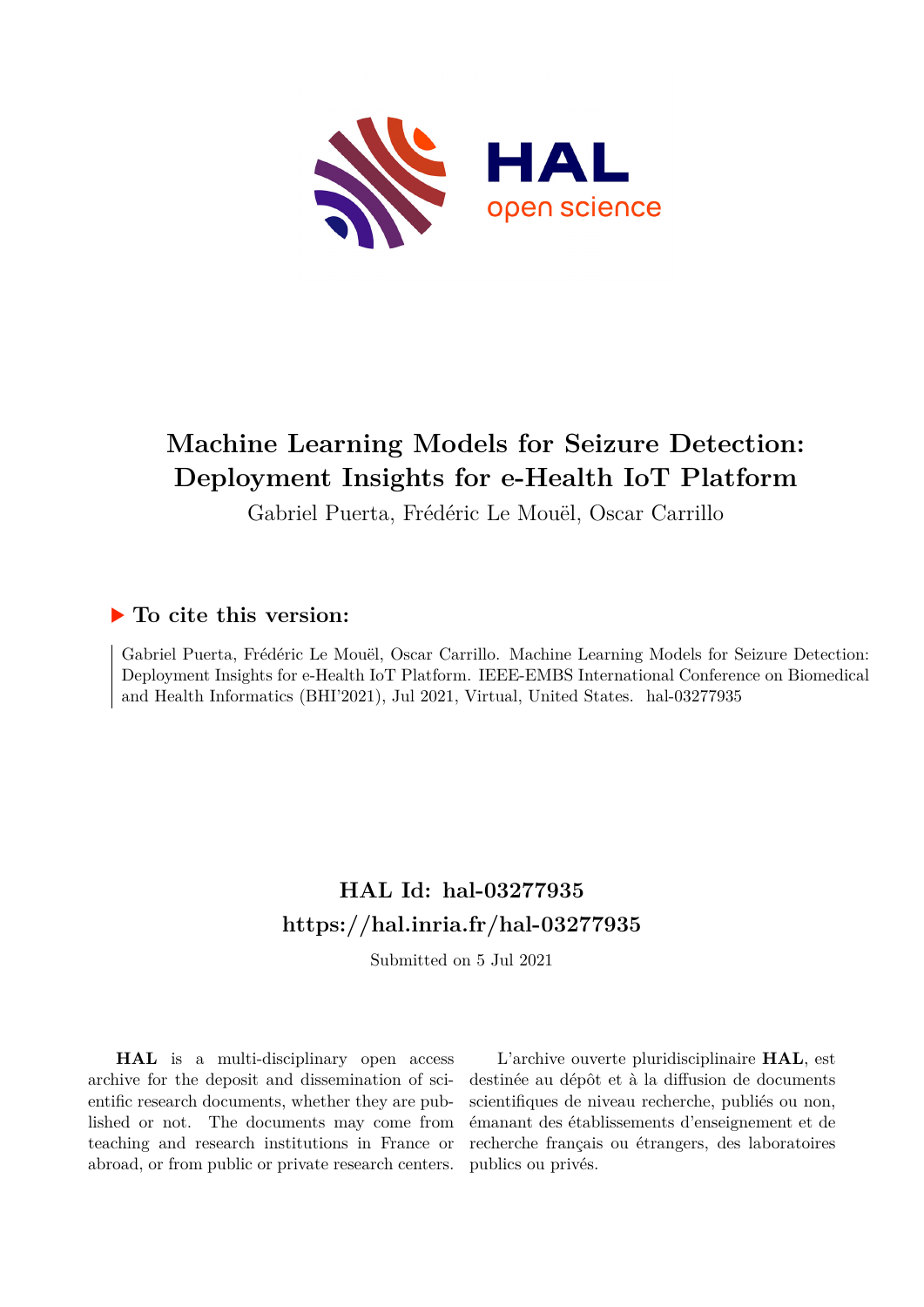

# **Machine Learning Models for Seizure Detection: Deployment Insights for e-Health IoT Platform**

Gabriel Puerta, Frédéric Le Mouël, Oscar Carrillo

### **To cite this version:**

Gabriel Puerta, Frédéric Le Mouël, Oscar Carrillo. Machine Learning Models for Seizure Detection: Deployment Insights for e-Health IoT Platform. IEEE-EMBS International Conference on Biomedical and Health Informatics (BHI'2021), Jul 2021, Virtual, United States. hal-03277935

## **HAL Id: hal-03277935 <https://hal.inria.fr/hal-03277935>**

Submitted on 5 Jul 2021

**HAL** is a multi-disciplinary open access archive for the deposit and dissemination of scientific research documents, whether they are published or not. The documents may come from teaching and research institutions in France or abroad, or from public or private research centers.

L'archive ouverte pluridisciplinaire **HAL**, est destinée au dépôt et à la diffusion de documents scientifiques de niveau recherche, publiés ou non, émanant des établissements d'enseignement et de recherche français ou étrangers, des laboratoires publics ou privés.